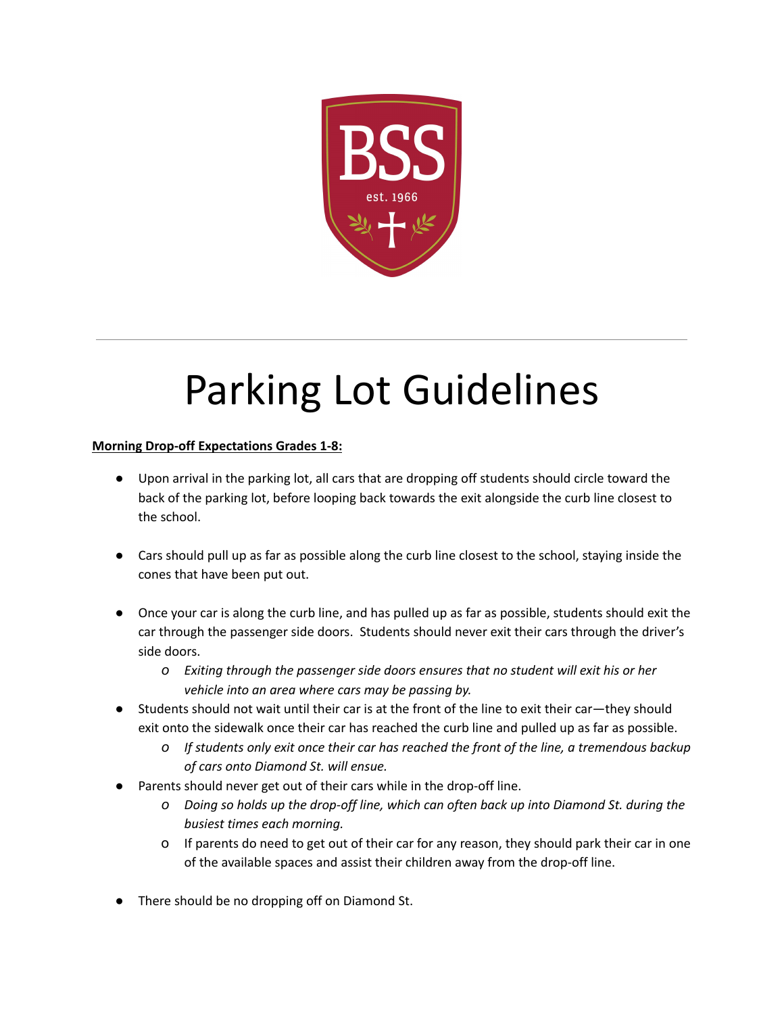

# Parking Lot Guidelines

# **Morning Drop-off Expectations Grades 1-8:**

- Upon arrival in the parking lot, all cars that are dropping off students should circle toward the back of the parking lot, before looping back towards the exit alongside the curb line closest to the school.
- Cars should pull up as far as possible along the curb line closest to the school, staying inside the cones that have been put out.
- Once your car is along the curb line, and has pulled up as far as possible, students should exit the car through the passenger side doors. Students should never exit their cars through the driver's side doors.
	- *o Exiting through the passenger side doors ensures that no student will exit his or her vehicle into an area where cars may be passing by.*
- Students should not wait until their car is at the front of the line to exit their car—they should exit onto the sidewalk once their car has reached the curb line and pulled up as far as possible.
	- *o If students only exit once their car has reached the front of the line, a tremendous backup of cars onto Diamond St. will ensue.*
- Parents should never get out of their cars while in the drop-off line.
	- *o Doing so holds up the drop-off line, which can often back up into Diamond St. during the busiest times each morning.*
	- o If parents do need to get out of their car for any reason, they should park their car in one of the available spaces and assist their children away from the drop-off line.
- There should be no dropping off on Diamond St.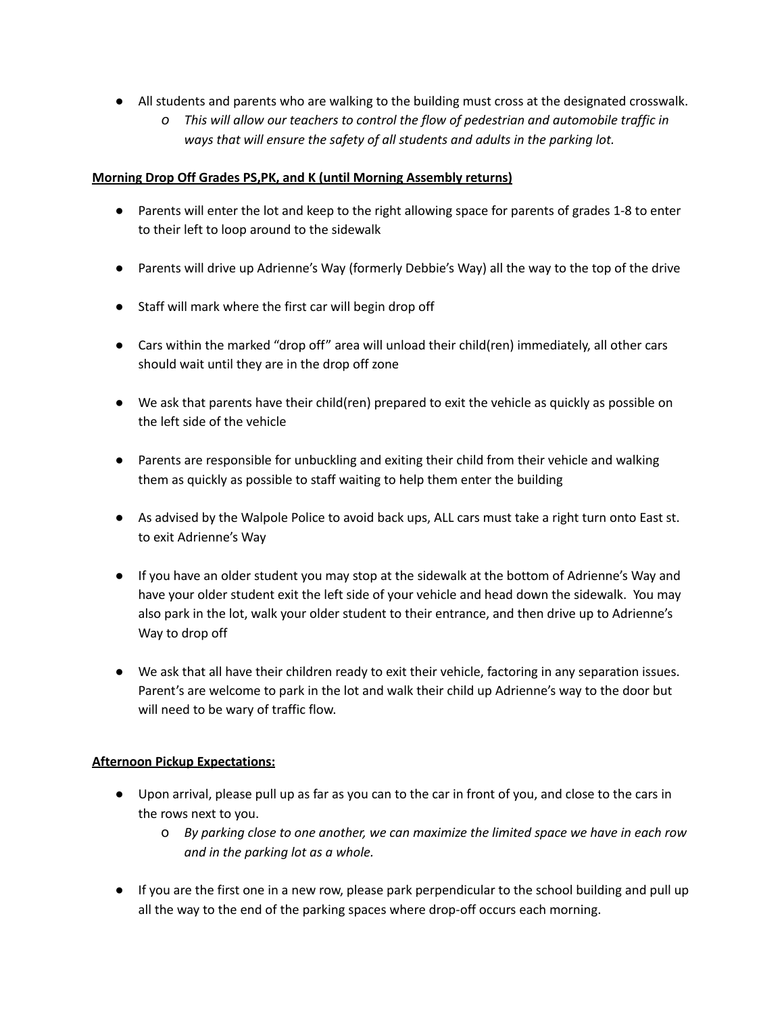- All students and parents who are walking to the building must cross at the designated crosswalk.
	- *o This will allow our teachers to control the flow of pedestrian and automobile traffic in ways that will ensure the safety of all students and adults in the parking lot.*

### **Morning Drop Off Grades PS,PK, and K (until Morning Assembly returns)**

- Parents will enter the lot and keep to the right allowing space for parents of grades 1-8 to enter to their left to loop around to the sidewalk
- Parents will drive up Adrienne's Way (formerly Debbie's Way) all the way to the top of the drive
- Staff will mark where the first car will begin drop off
- Cars within the marked "drop off" area will unload their child(ren) immediately, all other cars should wait until they are in the drop off zone
- We ask that parents have their child(ren) prepared to exit the vehicle as quickly as possible on the left side of the vehicle
- Parents are responsible for unbuckling and exiting their child from their vehicle and walking them as quickly as possible to staff waiting to help them enter the building
- As advised by the Walpole Police to avoid back ups, ALL cars must take a right turn onto East st. to exit Adrienne's Way
- If you have an older student you may stop at the sidewalk at the bottom of Adrienne's Way and have your older student exit the left side of your vehicle and head down the sidewalk. You may also park in the lot, walk your older student to their entrance, and then drive up to Adrienne's Way to drop off
- We ask that all have their children ready to exit their vehicle, factoring in any separation issues. Parent's are welcome to park in the lot and walk their child up Adrienne's way to the door but will need to be wary of traffic flow.

# **Afternoon Pickup Expectations:**

- Upon arrival, please pull up as far as you can to the car in front of you, and close to the cars in the rows next to you.
	- o *By parking close to one another, we can maximize the limited space we have in each row and in the parking lot as a whole.*
- If you are the first one in a new row, please park perpendicular to the school building and pull up all the way to the end of the parking spaces where drop-off occurs each morning.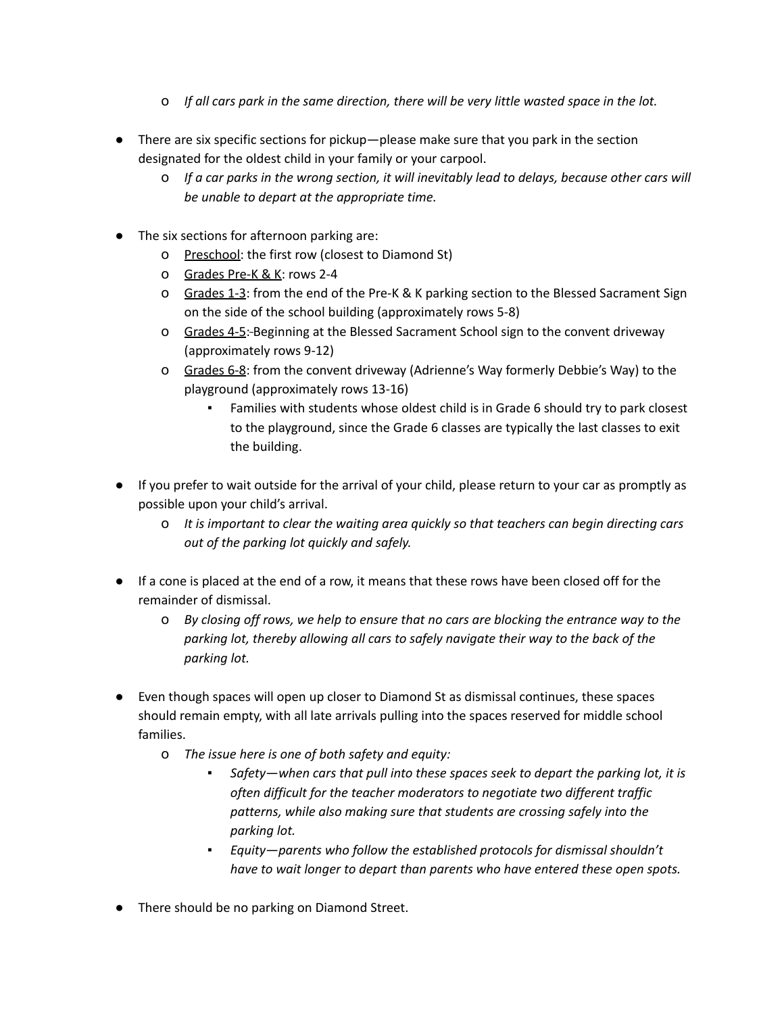- o *If all cars park in the same direction, there will be very little wasted space in the lot.*
- There are six specific sections for pickup—please make sure that you park in the section designated for the oldest child in your family or your carpool.
	- o *If a car parks in the wrong section, it will inevitably lead to delays, because other cars will be unable to depart at the appropriate time.*
- The six sections for afternoon parking are:
	- o Preschool: the first row (closest to Diamond St)
	- o Grades Pre-K & K: rows 2-4
	- o Grades 1-3: from the end of the Pre-K & K parking section to the Blessed Sacrament Sign on the side of the school building (approximately rows 5-8)
	- o Grades 4-5: Beginning at the Blessed Sacrament School sign to the convent driveway (approximately rows 9-12)
	- o Grades 6-8: from the convent driveway (Adrienne's Way formerly Debbie's Way) to the playground (approximately rows 13-16)
		- Families with students whose oldest child is in Grade 6 should try to park closest to the playground, since the Grade 6 classes are typically the last classes to exit the building.
- If you prefer to wait outside for the arrival of your child, please return to your car as promptly as possible upon your child's arrival.
	- o *It is important to clear the waiting area quickly so that teachers can begin directing cars out of the parking lot quickly and safely.*
- If a cone is placed at the end of a row, it means that these rows have been closed off for the remainder of dismissal.
	- o *By closing off rows, we help to ensure that no cars are blocking the entrance way to the parking lot, thereby allowing all cars to safely navigate their way to the back of the parking lot.*
- Even though spaces will open up closer to Diamond St as dismissal continues, these spaces should remain empty, with all late arrivals pulling into the spaces reserved for middle school families.
	- o *The issue here is one of both safety and equity:*
		- *Safety—when cars that pull into these spaces seek to depart the parking lot, it is often difficult for the teacher moderators to negotiate two different traffic patterns, while also making sure that students are crossing safely into the parking lot.*
		- *Equity—parents who follow the established protocols for dismissal shouldn't have to wait longer to depart than parents who have entered these open spots.*
- There should be no parking on Diamond Street.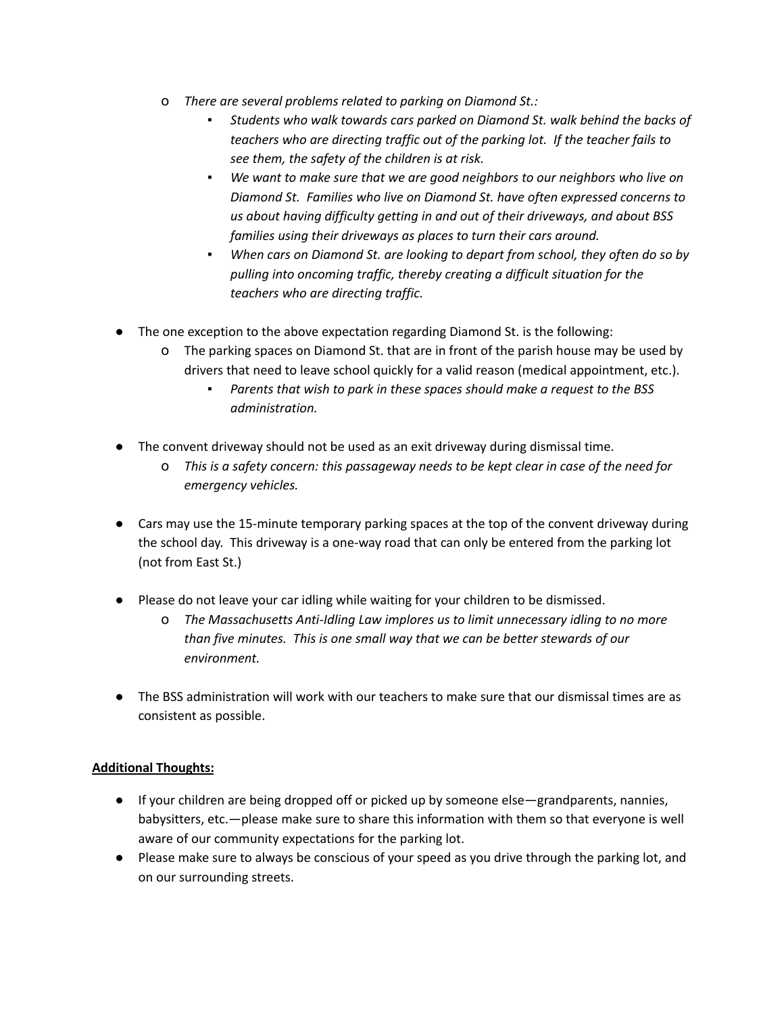- o *There are several problems related to parking on Diamond St.:*
	- *Students who walk towards cars parked on Diamond St. walk behind the backs of teachers who are directing traffic out of the parking lot. If the teacher fails to see them, the safety of the children is at risk.*
	- *We want to make sure that we are good neighbors to our neighbors who live on Diamond St. Families who live on Diamond St. have often expressed concerns to us about having difficulty getting in and out of their driveways, and about BSS families using their driveways as places to turn their cars around.*
	- *When cars on Diamond St. are looking to depart from school, they often do so by pulling into oncoming traffic, thereby creating a difficult situation for the teachers who are directing traffic.*
- The one exception to the above expectation regarding Diamond St. is the following:
	- o The parking spaces on Diamond St. that are in front of the parish house may be used by drivers that need to leave school quickly for a valid reason (medical appointment, etc.).
		- *▪ Parents that wish to park in these spaces should make a request to the BSS administration.*
- The convent driveway should not be used as an exit driveway during dismissal time.
	- o *This is a safety concern: this passageway needs to be kept clear in case of the need for emergency vehicles.*
- Cars may use the 15-minute temporary parking spaces at the top of the convent driveway during the school day. This driveway is a one-way road that can only be entered from the parking lot (not from East St.)
- Please do not leave your car idling while waiting for your children to be dismissed.
	- o *The Massachusetts Anti-Idling Law implores us to limit unnecessary idling to no more than five minutes. This is one small way that we can be better stewards of our environment.*
- The BSS administration will work with our teachers to make sure that our dismissal times are as consistent as possible.

# **Additional Thoughts:**

- If your children are being dropped off or picked up by someone else—grandparents, nannies, babysitters, etc.—please make sure to share this information with them so that everyone is well aware of our community expectations for the parking lot.
- Please make sure to always be conscious of your speed as you drive through the parking lot, and on our surrounding streets.